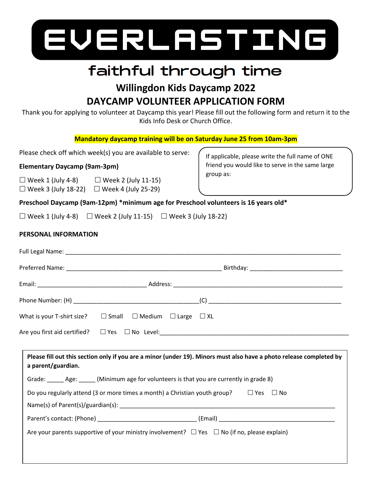

# faithful through time

# **Willingdon Kids Daycamp 2022 DAYCAMP VOLUNTEER APPLICATION FORM**

Thank you for applying to volunteer at Daycamp this year! Please fill out the following form and return it to the Kids Info Desk or Church Office.

**Mandatory daycamp training will be on Saturday June 25 from 10am-3pm**

Please check off which week(s) you are available to serve:

# **Elementary Daycamp (9am-3pm)**

 $\Box$  Week 1 (July 4-8)  $\Box$  Week 2 (July 11-15)  $\Box$  Week 3 (July 18-22)  $\Box$  Week 4 (July 25-29)

If applicable, please write the full name of ONE friend you would like to serve in the same large group as:

# **Preschool Daycamp (9am-12pm) \*minimum age for Preschool volunteers is 16 years old\***

 $\Box$  Week 1 (July 4-8)  $\Box$  Week 2 (July 11-15)  $\Box$  Week 3 (July 18-22)

# **PERSONAL INFORMATION**

| What is your T-shirt size? $\square$ Small $\square$ Medium $\square$ Large $\square$ XL                                                  |  |
|-------------------------------------------------------------------------------------------------------------------------------------------|--|
|                                                                                                                                           |  |
| Please fill out this section only if you are a minor (under 19). Minors must also have a photo release completed by<br>a parent/guardian. |  |
| Grade: _______ Age: _______ (Minimum age for volunteers is that you are currently in grade 8)                                             |  |
| Do you regularly attend (3 or more times a month) a Christian youth group? $\square$ Yes $\square$ No                                     |  |
|                                                                                                                                           |  |
| Are your parents supportive of your ministry involvement? $\Box$ Yes $\Box$ No (if no, please explain)                                    |  |
|                                                                                                                                           |  |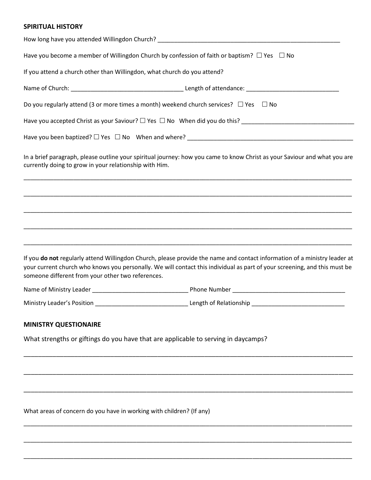#### **SPIRITUAL HISTORY**

|                                                                          | Have you become a member of Willingdon Church by confession of faith or baptism? $\Box$ Yes $\Box$ No                                                                                                                                                  |
|--------------------------------------------------------------------------|--------------------------------------------------------------------------------------------------------------------------------------------------------------------------------------------------------------------------------------------------------|
| If you attend a church other than Willingdon, what church do you attend? |                                                                                                                                                                                                                                                        |
|                                                                          |                                                                                                                                                                                                                                                        |
|                                                                          | Do you regularly attend (3 or more times a month) weekend church services? $\Box$ Yes $\Box$ No                                                                                                                                                        |
|                                                                          | Have you accepted Christ as your Saviour? □ Yes □ No When did you do this? ___________________________________                                                                                                                                         |
|                                                                          |                                                                                                                                                                                                                                                        |
| currently doing to grow in your relationship with Him.                   | In a brief paragraph, please outline your spiritual journey: how you came to know Christ as your Saviour and what you are                                                                                                                              |
|                                                                          |                                                                                                                                                                                                                                                        |
|                                                                          |                                                                                                                                                                                                                                                        |
|                                                                          |                                                                                                                                                                                                                                                        |
|                                                                          |                                                                                                                                                                                                                                                        |
| someone different from your other two references.                        | If you do not regularly attend Willingdon Church, please provide the name and contact information of a ministry leader at<br>your current church who knows you personally. We will contact this individual as part of your screening, and this must be |
|                                                                          |                                                                                                                                                                                                                                                        |
| Ministry Leader's Position                                               | <b>Length of Relationship CONSIDENT</b> CHARGE Length of Relationship                                                                                                                                                                                  |
| <b>MINISTRY QUESTIONAIRE</b>                                             |                                                                                                                                                                                                                                                        |
|                                                                          | What strengths or giftings do you have that are applicable to serving in daycamps?                                                                                                                                                                     |
|                                                                          |                                                                                                                                                                                                                                                        |
|                                                                          |                                                                                                                                                                                                                                                        |
|                                                                          |                                                                                                                                                                                                                                                        |
| What areas of concern do you have in working with children? (If any)     |                                                                                                                                                                                                                                                        |
|                                                                          |                                                                                                                                                                                                                                                        |
|                                                                          |                                                                                                                                                                                                                                                        |

\_\_\_\_\_\_\_\_\_\_\_\_\_\_\_\_\_\_\_\_\_\_\_\_\_\_\_\_\_\_\_\_\_\_\_\_\_\_\_\_\_\_\_\_\_\_\_\_\_\_\_\_\_\_\_\_\_\_\_\_\_\_\_\_\_\_\_\_\_\_\_\_\_\_\_\_\_\_\_\_\_\_\_\_\_\_\_\_\_\_\_\_\_\_\_\_\_\_\_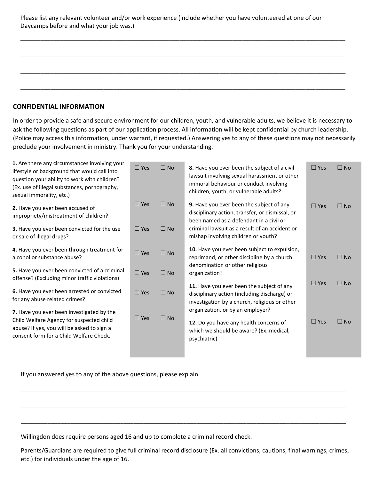| Please list any relevant volunteer and/or work experience (include whether you have volunteered at one of our |
|---------------------------------------------------------------------------------------------------------------|
| Daycamps before and what your job was.)                                                                       |

\_\_\_\_\_\_\_\_\_\_\_\_\_\_\_\_\_\_\_\_\_\_\_\_\_\_\_\_\_\_\_\_\_\_\_\_\_\_\_\_\_\_\_\_\_\_\_\_\_\_\_\_\_\_\_\_\_\_\_\_\_\_\_\_\_\_\_\_\_\_\_\_\_\_\_\_\_\_\_\_\_\_\_\_\_\_\_\_\_\_\_\_\_\_\_\_\_\_

\_\_\_\_\_\_\_\_\_\_\_\_\_\_\_\_\_\_\_\_\_\_\_\_\_\_\_\_\_\_\_\_\_\_\_\_\_\_\_\_\_\_\_\_\_\_\_\_\_\_\_\_\_\_\_\_\_\_\_\_\_\_\_\_\_\_\_\_\_\_\_\_\_\_\_\_\_\_\_\_\_\_\_\_\_\_\_\_\_\_\_\_\_\_\_\_\_\_

\_\_\_\_\_\_\_\_\_\_\_\_\_\_\_\_\_\_\_\_\_\_\_\_\_\_\_\_\_\_\_\_\_\_\_\_\_\_\_\_\_\_\_\_\_\_\_\_\_\_\_\_\_\_\_\_\_\_\_\_\_\_\_\_\_\_\_\_\_\_\_\_\_\_\_\_\_\_\_\_\_\_\_\_\_\_\_\_\_\_\_\_\_\_\_\_\_\_

\_\_\_\_\_\_\_\_\_\_\_\_\_\_\_\_\_\_\_\_\_\_\_\_\_\_\_\_\_\_\_\_\_\_\_\_\_\_\_\_\_\_\_\_\_\_\_\_\_\_\_\_\_\_\_\_\_\_\_\_\_\_\_\_\_\_\_\_\_\_\_\_\_\_\_\_\_\_\_\_\_\_\_\_\_\_\_\_\_\_\_\_\_\_\_\_\_\_

#### **CONFIDENTIAL INFORMATION**

In order to provide a safe and secure environment for our children, youth, and vulnerable adults, we believe it is necessary to ask the following questions as part of our application process. All information will be kept confidential by church leadership. (Police may access this information, under warrant, if requested.) Answering yes to any of these questions may not necessarily preclude your involvement in ministry. Thank you for your understanding.

| 1. Are there any circumstances involving your<br>lifestyle or background that would call into<br>question your ability to work with children?<br>(Ex. use of illegal substances, pornography,<br>sexual immorality, etc.) | $\square$ Yes | $\Box$ No    | 8. Have you ever been the subject of a civil<br>lawsuit involving sexual harassment or other<br>immoral behaviour or conduct involving<br>children, youth, or vulnerable adults? | $\Box$ Yes    | $\Box$ No    |
|---------------------------------------------------------------------------------------------------------------------------------------------------------------------------------------------------------------------------|---------------|--------------|----------------------------------------------------------------------------------------------------------------------------------------------------------------------------------|---------------|--------------|
| 2. Have you ever been accused of<br>impropriety/mistreatment of children?                                                                                                                                                 | $\Box$ Yes    | $\square$ No | 9. Have you ever been the subject of any<br>disciplinary action, transfer, or dismissal, or<br>been named as a defendant in a civil or                                           | $\square$ Yes | $\Box$ No    |
| 3. Have you ever been convicted for the use<br>or sale of illegal drugs?                                                                                                                                                  | $\Box$ Yes    | $\Box$ No    | criminal lawsuit as a result of an accident or<br>mishap involving children or youth?                                                                                            |               |              |
| 4. Have you ever been through treatment for<br>alcohol or substance abuse?                                                                                                                                                | $\Box$ Yes    | $\square$ No | 10. Have you ever been subject to expulsion,<br>reprimand, or other discipline by a church                                                                                       | $\Box$ Yes    | $\square$ No |
| 5. Have you ever been convicted of a criminal<br>offense? (Excluding minor traffic violations)                                                                                                                            | $\square$ Yes | $\Box$ No    | denomination or other religious<br>organization?                                                                                                                                 |               |              |
| 6. Have you ever been arrested or convicted<br>for any abuse related crimes?                                                                                                                                              | $\Box$ Yes    | $\Box$ No    | 11. Have you ever been the subject of any<br>disciplinary action (including discharge) or<br>investigation by a church, religious or other                                       | $\Box$ Yes    | $\Box$ No    |
| 7. Have you ever been investigated by the<br>Child Welfare Agency for suspected child<br>abuse? If yes, you will be asked to sign a<br>consent form for a Child Welfare Check.                                            | $\Box$ Yes    | $\Box$ No    | organization, or by an employer?<br>12. Do you have any health concerns of<br>which we should be aware? (Ex. medical,<br>psychiatric)                                            | $\Box$ Yes    | $\Box$ No    |
|                                                                                                                                                                                                                           |               |              |                                                                                                                                                                                  |               |              |

If you answered yes to any of the above questions, please explain.

Willingdon does require persons aged 16 and up to complete a criminal record check.

Parents/Guardians are required to give full criminal record disclosure (Ex. all convictions, cautions, final warnings, crimes, etc.) for individuals under the age of 16.

\_\_\_\_\_\_\_\_\_\_\_\_\_\_\_\_\_\_\_\_\_\_\_\_\_\_\_\_\_\_\_\_\_\_\_\_\_\_\_\_\_\_\_\_\_\_\_\_\_\_\_\_\_\_\_\_\_\_\_\_\_\_\_\_\_\_\_\_\_\_\_\_\_\_\_\_\_\_\_\_\_\_\_\_\_\_\_\_\_\_\_\_\_\_\_\_\_\_

\_\_\_\_\_\_\_\_\_\_\_\_\_\_\_\_\_\_\_\_\_\_\_\_\_\_\_\_\_\_\_\_\_\_\_\_\_\_\_\_\_\_\_\_\_\_\_\_\_\_\_\_\_\_\_\_\_\_\_\_\_\_\_\_\_\_\_\_\_\_\_\_\_\_\_\_\_\_\_\_\_\_\_\_\_\_\_\_\_\_\_\_\_\_\_\_\_\_

\_\_\_\_\_\_\_\_\_\_\_\_\_\_\_\_\_\_\_\_\_\_\_\_\_\_\_\_\_\_\_\_\_\_\_\_\_\_\_\_\_\_\_\_\_\_\_\_\_\_\_\_\_\_\_\_\_\_\_\_\_\_\_\_\_\_\_\_\_\_\_\_\_\_\_\_\_\_\_\_\_\_\_\_\_\_\_\_\_\_\_\_\_\_\_\_\_\_